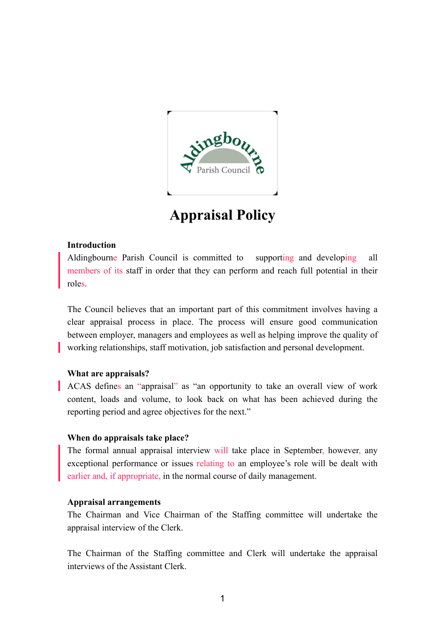

# **Appraisal Policy**

## **Introduction**

Aldingbourne Parish Council is committed to supporting and developing all members of its staff in order that they can perform and reach full potential in their roles.

The Council believes that an important part of this commitment involves having a clear appraisal process in place. The process will ensure good communication between employer, managers and employees as well as helping improve the quality of working relationships, staff motivation, job satisfaction and personal development.

## **What are appraisals?**

ACAS defines an "appraisal" as "an opportunity to take an overall view of work content, loads and volume, to look back on what has been achieved during the reporting period and agree objectives for the next."

## **When do appraisals take place?**

The formal annual appraisal interview will take place in September, however, any exceptional performance or issues relating to an employee's role will be dealt with earlier and, if appropriate, in the normal course of daily management.

### **Appraisal arrangements**

The Chairman and Vice Chairman of the Staffing committee will undertake the appraisal interview of the Clerk.

The Chairman of the Staffing committee and Clerk will undertake the appraisal interviews of the Assistant Clerk.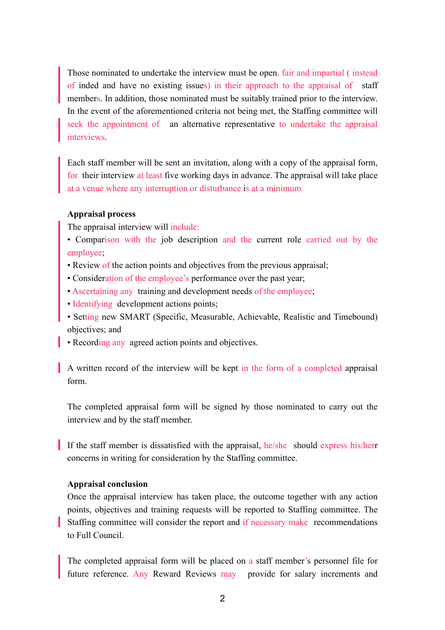Those nominated to undertake the interview must be open, fair and impartial ( instead of inded and have no existing issues) in their approach to the appraisal of staff members. In addition, those nominated must be suitably trained prior to the interview. In the event of the aforementioned criteria not being met, the Staffing committee will seek the appointment of an alternative representative to undertake the appraisal interviews.

Each staff member will be sent an invitation, along with a copy of the appraisal form, for their interview at least five working days in advance. The appraisal will take place at a venue where any interruption or disturbance is at a minimum

#### **Appraisal process**

The appraisal interview will include:

- Comparison with the job description and the current role carried out by the employee;
- Review of the action points and objectives from the previous appraisal;
- Consideration of the employee's performance over the past year;
- Ascertaining any training and development needs of the employee;
- Identifying development actions points;
- Setting new SMART (Specific, Measurable, Achievable, Realistic and Timebound) objectives; and
- Recording any agreed action points and objectives.

A written record of the interview will be kept in the form of a completed appraisal form.

The completed appraisal form will be signed by those nominated to carry out the interview and by the staff member.

If the staff member is dissatisfied with the appraisal, he/she should express his/herr concerns in writing for consideration by the Staffing committee.

#### **Appraisal conclusion**

Once the appraisal interview has taken place, the outcome together with any action points, objectives and training requests will be reported to Staffing committee. The Staffing committee will consider the report and if necessary make recommendations to Full Council.

The completed appraisal form will be placed on a staff member's personnel file for future reference. Any Reward Reviews may provide for salary increments and